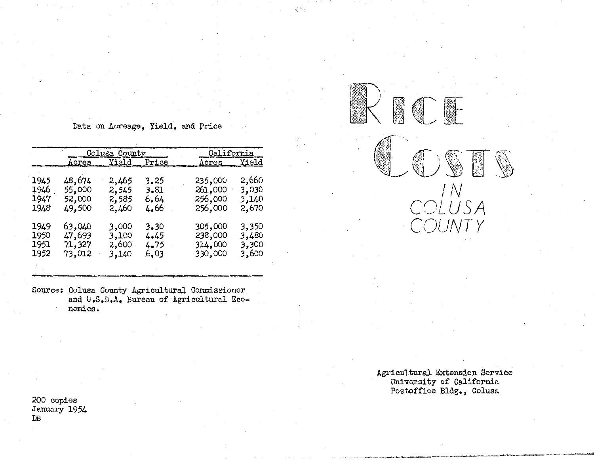Data on Acreage, Yield, and price

|      |        | Colusa County            |      | California  |       |  |
|------|--------|--------------------------|------|-------------|-------|--|
|      |        | <u>Acres Yield Price</u> |      | Acros Yield |       |  |
| 1945 | 48,674 | 2,465                    | 3.25 | 235,000     | 2,660 |  |
| 1946 | 55,000 | 2,545                    | 3.81 | 261,000     | 3,030 |  |
| 1947 | 52,000 | 2,585                    | 6,64 | 256,000     | 3,140 |  |
| 1948 | 49,500 | 2,460                    | 4.66 | 256,000     | 2,670 |  |
| 1949 | 63,040 | 3,000                    | 3,30 | 305,000     | 3,350 |  |
| 1950 | 47,693 | 3,100                    | 4.45 | 238,000     | 3,480 |  |
| 1951 | 71,327 | 2,600                    | 4.75 | 314,000     | 3,300 |  |
| 1952 | 73,012 | 3,140                    | 6.03 | 330,000     | 3,600 |  |

Source: Colusa County Agricultural Commissioner and U,S,D,A. Bureau of Agricultural Economics.

200 copies January 1954 DB

Agricultural Extension Service University of California Postoffice Bldg., Colusa

 $\mathbb{R} \mathbb{C} \mathbb{F}$ 

g

IN

 $SA$ 

*C<JlJNT Y* 

 $\tilde{i}$  :  $\tilde{j}$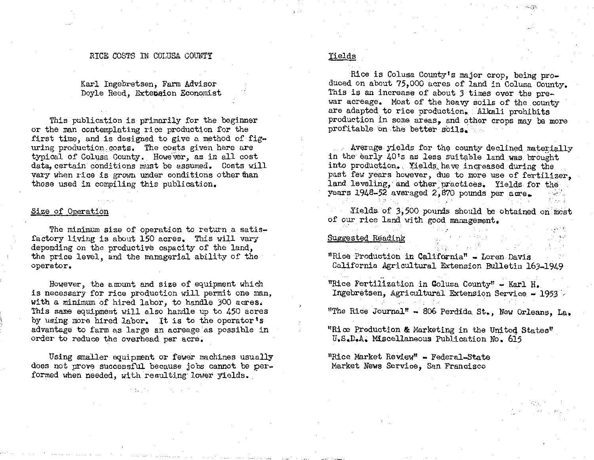#### RICE COSTS IN COLUSA COUNTY

Karl Ingebretsen, Farm Advisor Doyle Recd, Extepeion Economist

This publication is primarily for the beginner or the man contemplating rice production for the first time, and is designed to give a method of figuring production,costs. The costs given here are typical of Colusa County. However, as in all cost data, certain conditions must be assumed. Costs will vary when rice is grown under conditions other than those used in compiling this publication.

#### Size of Operation

The minimum size of operation to return a satisfactory living is about 150 acres. This will vary depending on the productive capacity of the land, the price level, and the managerial ability of the operator.

However, the amount and size of equipment which is necessary for rice production will permit one man, with a minimum of hired labor, to handle 300 acres. This same equipment will also handle up to 450 acres by using more hired labor. It is to the operator's advantage to farm as large an acreage· as possible in order to reduce the overhead per acre.

Using smaller equipment or fewer machines usually does not prove successful because jobs cannot be formed when needed, with resulting lower yields.

### Yields

Rice is Colusa County's major crop, being produced on about 75,000 acres of land in Colusa County. This is an increase of about *3* times over the prewar acreage. Most of the heavy soils of the county are adapted to rice production. Alkali prohibits production in some areas, and other crops may be more profitable on the better soils.

 $-2\pi$ 

Average yields for the county declined materially in the early 40's as less suitable land was brought into production. Yields have increased during the past few years however, due to more use of fertilizer, land leveling, and other practices. Yields for the years  $1948-52$  averaged  $2,870$  pounds per acre.

Yields of 3,500 pounds should be obtained on most of our rice land with good management.

Suggested Reading

,' "Rice Production in California" - Loren Davis California Agricultural Extension Bulletin 163-1949

"Rice Fertilization in Colusa County" - Karl H. Ingebretsen, Agricultural Extension Service - 1953

<sup>11</sup>The Rice Journal" - 006 Perdida St., New Orleans, La.

"Rice Production & Marketing in the United States" U9S.D.A• Miscellaneous Publication No. 615

"Rice Market Review" • Federal-State Market News Service, San Francisco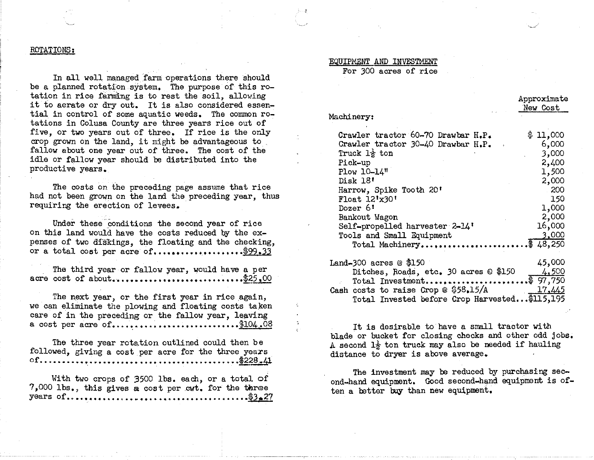#### ROTATIONS:

In all well managed farm operations there should be a planned rotation system, The purpose of this rotation in rice farming is to rest the soil, allowing it to aerate or dry out. It is also considered essential in control of some aquatic weeds. The common rotations in Colusa County are three years rice out of five, or two years out of three, If rice is the only crop grown on the land, it might be advantageous to fallow about one year out of three, The cost of the idle or fallow year should be distributed into the productive years.

The costs on the preceding page assume that rice had not been grown on the land the preceding year, thus requiring the erection of levees.

Under these conditions the second year of rice on this land would have the costs reduced by the expenses of two diskings, the floating and the checking, or a total cost per acre of.....................\$99.33

The third year or fallow year, would have a per **acre cost of about...................................** \$25.00

The next year, or the first year in rice again, we can eliminate the plowing and floating costs taken care of in the preceding or the fallow year, leaving **a** cost per acre of.............................\$104.08

The three year rotation outlined could then be followed, giving a cost per acre for the three years **of •** ••• , •.•• , • ....•••..••....•....•.•.••...•.... **. f228 .41** 

With two crops of 3500 lbs. each, or a total of  $7,000$  lbs., this gives a cost per cwt. for the three **years of ............. ..........** 

## EQUIPMENT AND INVESTMENT

For 300 acres of rice

| Machinery:                         |          |
|------------------------------------|----------|
| Crawler tractor 60-70 Drawbar H.P. | \$11,000 |
| Crawler tractor 30-40 Drawbar H.P. | 6,000    |
| Truck $1\frac{1}{2}$ ton           | 3,000    |
| Pick-up                            | 2,400    |
| Plow 10-14"                        | 1,500    |
| Disk 18'                           | 2,000    |
| Harrow, Spike Tooth 20'            | - 200    |
| Float 12'x30'                      | 150      |
| Dozer 6'                           | 1,000    |
| Bankout Wagon                      | 2,000    |
| Self-propelled harvester 2-14'     | 16,000   |
| Tools and Small Equipment          | 3,000    |
| Total Machinery                    | 48,250   |
|                                    |          |

Approximate New Cost

| Land-300 acres @ \$150 |                                                | 45,000        |
|------------------------|------------------------------------------------|---------------|
|                        | Ditches, Roads, etc. 30 acres © \$150          | 4,500         |
|                        | Total Investment\$ 97,750                      |               |
|                        | Cash costs to raise Crop @ $$58,15/A$          | <u>17,445</u> |
|                        | Total Invested before Crop Harvested \$115,195 |               |

It is desirable to have a small tractor with blade or bucket for closing checks and other odd jobs, A second  $1\frac{1}{2}$  ton truck may also be needed if hauling distance to dryer is above average.

The investment may be reduced by purchasing second-hand equipment, Good second-hand equipment is often a better buy than new equipment,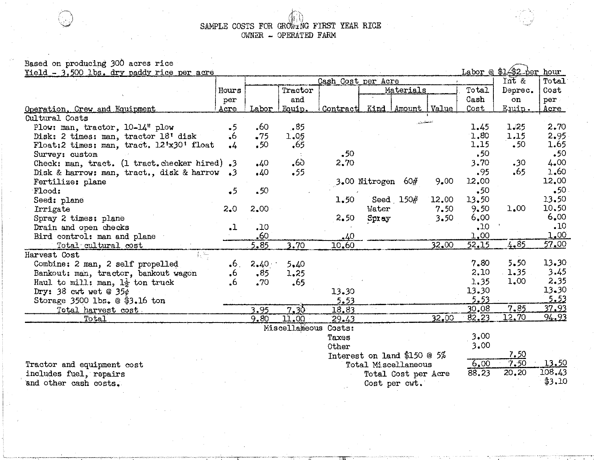SAMPLE COSTS FOR GROWING FIRST YEAR RICE OWNER - OPERATED FARM

# Based on producing 300 acres rice

Labor @ \$14\$2 per hour Yield  $-3,500$  lbs. dry paddy rice per acre  $T$ nt & Cash Cost per Acre Hours Tractor Materials Total Deprec. Cash and  $on$ per Operation, Crew and Equipment Kind | Amount | Value Acre Labor | Fouin. Contract Cost Euuin. Cultural Costs Plow: man, tractor, 10-14" plow  $\cdot$ 5 .60  $-85$ 1.45  $1.25$ Disk: 2 times: man, tractor 18' disk 1.05 1.80  $\cdot 6$  $-75$ 1.15 Float:2 times: man. tract. 12'x30' float -65 1.15  $.50$  $.50<sub>1</sub>$  $\cdot$  $.50$  $.50<sub>1</sub>$ Survey: custom  $-6<sub>2</sub>$ 3.70 Check: man. tract. (1 tract. checker hired).3  $40$ 2.70  $.30<sub>2</sub>$ Disk & harrow: man, tract., disk & harrow  $.95$ .65.  $\Delta 0$  $-55$  $\cdot$ 3 3.00 Nitrogen 60# 12.00 Fertilize: plane 9.00  $.50$ Flood:  $-5$  $.50$ Seed: plane 1.50 Seed 150# 12.00  $13.50$  $9.50$ 1.00 Irrigate  $2.0$  $2.00$ Water  $7.50$ Spray 2 times: plane  $6.00$ 2.50  $S_{\rm D1\,ay}$  $3.50$ Drain and open checks  $\cdot$ 10  $\cdot$ 10  $\cdot$ 1 Bird control: man and plane  $.60$ 1.00  $.40$  $32.00$  $52.15$ 4.85 Total cultural cost  $5 - 85$  $3.70$ 10.60 Harvest, Cost.  $\{1, 2, \ldots \}$  $2.40 -$ Combine: 2 man, 2 self propelled  $6<sub>1</sub>$  $5 - 40$ 7.80  $5 - 50$ Bankout: man, tractor, bankout wagon 2.10 1.35  $6^{\circ}$  $-85$  $1.25$ Haul to mill: man,  $1\frac{1}{2}$  ton truck .65  $1.35$ 1.00 .6  $.70$ Dry:  $38 \text{ cut}$  wet @  $35e$ 13.30 13.30  $5.53$ Storage 3500  $\text{lbs.} \otimes \$3.16$  ton  $5.53$  $7.85$  $30.08$ Total harvest cost  $7.35$ 3.95 18.83  $\overline{82.23}$  $12,70$  $32.00$ Total  $9.80$ 11.00  $29.13$ Miscellaneous Costs: 3.00 Taxes  $3.00$ Other 7.50 Interest on land \$150  $@$  5%  $7.50$  $6.00$ Tractor and equipment cost Total Miscellaneous

includes fuel, repairs and other cash costs.

108.43 \$3.10

88.23

Total Cost per Acre

Cost per cwt.

20.20

13.50

Total

Cost

per

Acre

2.70

2.95

1.65

4.00

1.60

 $.50$ 

12.00

13.50

10.50

 $6.00$ 

 $.10$ 

 $1.00$ 

 $57.00$ 

13.30

 $3.45$ 

 $2.35$ 

13.30

 $5.53$ 

37.93

94.93

 $.50$